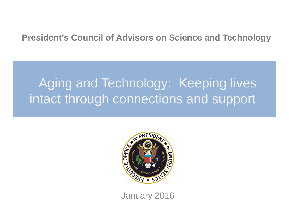### **President's Council of Advisors on Science and Technology**

# Aging and Technology: Keeping lives intact through connections and support



January 2016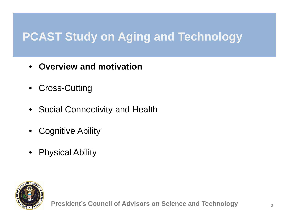# **PCAST Study on Aging and Technology**

- •**Overview and motivation**
- Cross-Cutting
- Social Connectivity and Health
- $\bullet$ Cognitive Ability
- •Physical Ability

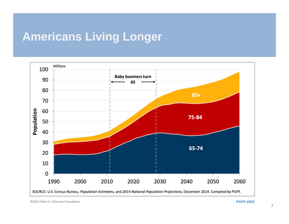# **Americans Living Longer**

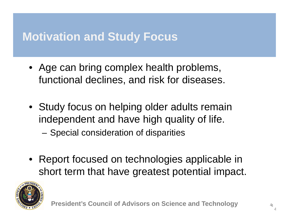# **Motivation and Study Focus**

- Age can bring complex health problems, functional declines, and risk for diseases.
- Study focus on helping older adults remain independent and have high quality of life.
	- –Special consideration of disparities
- Report focused on technologies applicable in short term that have greatest potential impact.

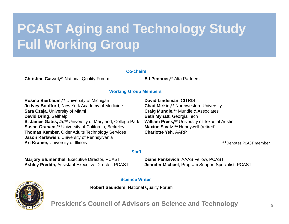# **PCAST Aging and Technology Study Full Working Group**

#### **Co-chairs**

**Christine Cassel,\***\* National Quality Forum **Ed Penhoet,\***\* Alta Partners

#### **Working Group Members**

**Rosina Bierbaum,\*\*** University of Michigan **Jo Ivey Boufford**, New York Academy of Medicine **Sara Czaja,** University of Miami **David Dring**, Selfhelp **S. James Gates, Jr,\*\*** University of Maryland, College Park **Susan Graham,\*\*** University of California, Berkeley **Thomas Kamber,** Older Adults Technology Services **Jason Karlawish**, University of Pennsylvania **Art Kramer,** University of Illinois

**David Lindeman**, CITRIS **Chad Mirkin,\*\*** Northwestern University **Craig Mundie,\*\*** Mundie & Associates **Beth Mynatt**, Georgia Tech **William Press,\*\*** University of Texas at Austin **Maxine Savitz**,**\*\*** Honeywell (retired) **Charlotte Yeh,** AARP

\*\*Denotes PCAST member

#### **Staff**

**Marjory Blumenthal**, Executive Director, PCAST **Ashley Predith,** Assistant Executive Director, PCAST **Diane Pankevich**, AAAS Fellow, PCAST **Jennifer Michael**, Program Support Specialist, PCAST

#### **Science Writer**

**Robert Saunders**, National Quality Forum



**President's Council of Advisors on Science and Technology**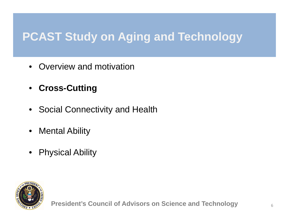# **PCAST Study on Aging and Technology**

- •Overview and motivation
- **Cross-Cutting**
- Social Connectivity and Health
- $\bullet$ Mental Ability
- •Physical Ability

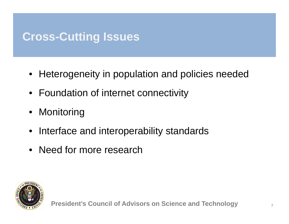# **Cross-Cutting Issues**

- Heterogeneity in population and policies needed
- Foundation of internet connectivity
- Monitoring
- Interface and interoperability standards
- Need for more research

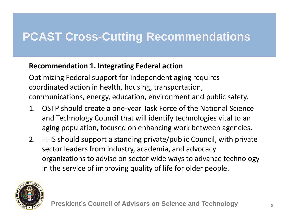### **Recommendation 1. Integrating Federal action**

Optimizing Federal support for independent aging requires coordinated action in health, housing, transportation, communications, energy, education, environment and public safety.

- 1. OSTP should create a one ‐year Task Force of the National Science and Technology Council that will identify technologies vital to an aging population, focused on enhancing work between agencies.
- 2. HHS should support a standing private/public Council, with private sector leaders from industry, academia, and advocacy organizations to advise on sector wide ways to advance technology in the service of improving quality of life for older people.

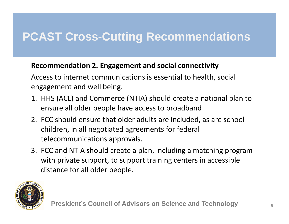### **Recommendation 2. Engagement and social connectivity**

Access to internet communications is essential to health, social engagement and well being.

- 1. HHS (ACL) and Commerce (NTIA) should create a national plan to ensure all older people have access to broadband
- 2. FCC should ensure that older adults are included, as are school children, in all negotiated agreements for federal telecommunications approvals.
- 3. FCC and NTIA should create a plan, including a matching program with private support, to support training centers in accessible distance for all older people.

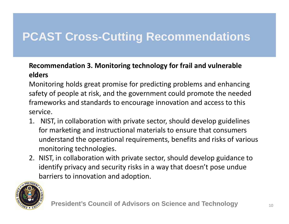### **Recommendation 3. Monitoring technology for frail and vulnerable elders**

Monitoring holds great promise for predicting problems and enhancing safety of people at risk, and the government could promote the needed frameworks and standards to encourage innovation and access to this service.

- 1. NIST, in collaboration with private sector, should develop guidelines for marketing and instructional materials to ensure that consumers understand the operational requirements, benefits and risks of various monitoring technologies.
- 2. NIST, in collaboration with private sector, should develop guidance to identify privacy and security risks in a way that doesn't pose undue barriers to innovation and adoption.

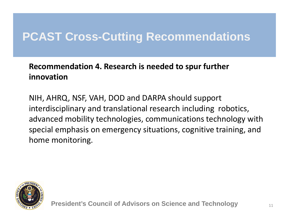### **Recommendation 4. Research is needed to spur further innovation**

NIH, AHRQ, NSF, VAH, DOD and DARPA should support interdisciplinary and translational research including robotics, advanced mobility technologies, communications technology with special emphasis on emergency situations, cognitive training, and home monitoring.

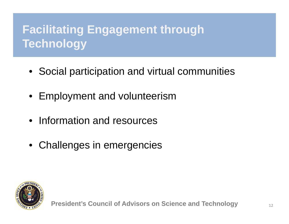# **Facilitating Engagement through Technology**

- Social participation and virtual communities
- Employment and volunteerism
- Information and resources
- Challenges in emergencies

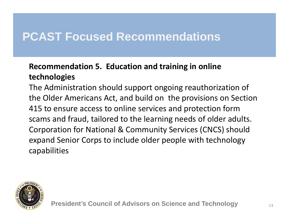### **Recommendation 5. Education and training in online technologies**

The Administration should support ongoing reauthorization of the Older Americans Act, and build on the provisions on Section 415 to ensure access to online services and protection form scams and fraud, tailored to the learning needs of older adults. Corporation for National & Community Services (CNCS) should expand Senior Corps to include older people with technology capabilities

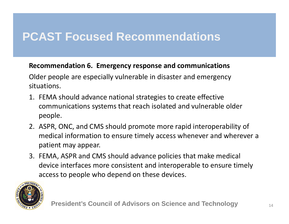### **Recommendation 6. Emergency response and communications**

Older people are especially vulnerable in disaster and emergency situations.

- 1. FEMA should advance national strategies to create effective communications systems that reach isolated and vulnerable older people.
- 2. ASPR, ONC, and CMS should promote more rapid interoperability of medical information to ensure timely access whenever and wherever a patient may appear.
- 3. FEMA, ASPR and CMS should advance policies that make medical device interfaces more consistent and interoperable to ensure timely access to people who depend on these devices.

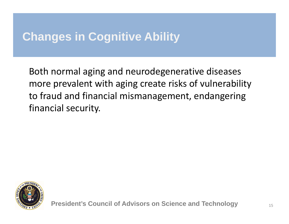# **Changes in Cognitive Ability**

Both normal aging and neurodegenerative diseases more prevalent with aging create risks of vulnerability to fraud and financial mismanagement, endangering financial security.

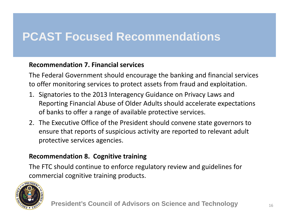### **Recommendation 7. Financial services**

The Federal Government should encourage the banking and financial services to offer monitoring services to protect assets from fraud and exploitation.

- 1. Signatories to the 2013 Interagency Guidance on Privacy Laws and Reporting Financial Abuse of Older Adults should accelerate expectations of banks to offer a range of available protective services.
- 2. The Executive Office of the President should convene state governors to ensure that reports of suspicious activity are reported to relevant adult protective services agencies.

### **Recommendation 8. Cognitive training**

The FTC should continue to enforce regulatory review and guidelines for commercial cognitive training products.

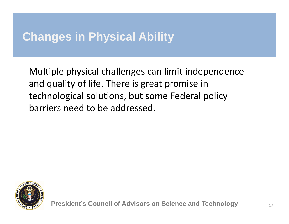# **Changes in Physical Ability**

Multiple physical challenges can limit independence and quality of life. There is great promise in technological solutions, but some Federal policy barriers need to be addressed.

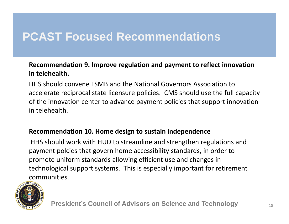### **Recommendation 9. Improve regulation and payment to reflect innovation in telehealth.**

HHS should convene FSMB and the National Governors Association to accelerate reciprocal state licensure policies. CMS should use the full capacity of the innovation center to advance payment policies that support innovation in telehealth.

### **Recommendation 10. Home design to sustain independence**

HHS should work with HUD to streamline and strengthen regulations and payment polcies that govern home accessibility standards, in order to promote uniform standards allowing efficient use and changes in technological support systems. This is especially important for retirement communities.

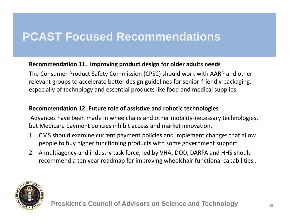### **Recommendation 11. Improving product design for older adults needs**

The Consumer Product Safety Commission (CPSC) should work with AARP and other relevant groups to accelerate better design guidelines for senior‐friendly packaging, especially of technology and essential products like food and medical supplies.

#### **Recommendation 12. Future role of assistive and robotic technologies**

Advances have been made in wheelchairs and other mobility‐necessary technologies, but Medicare payment policies inhibit access and market innovation.

- 1. CMS should examine current payment policies and implement changes that allow people to buy higher functioning products with some government support.
- 2. A multiagency and industry task force, led by VHA, DOD, DARPA and HHS should recommend a ten year roadmap for improving wheelchair functional capabilities .